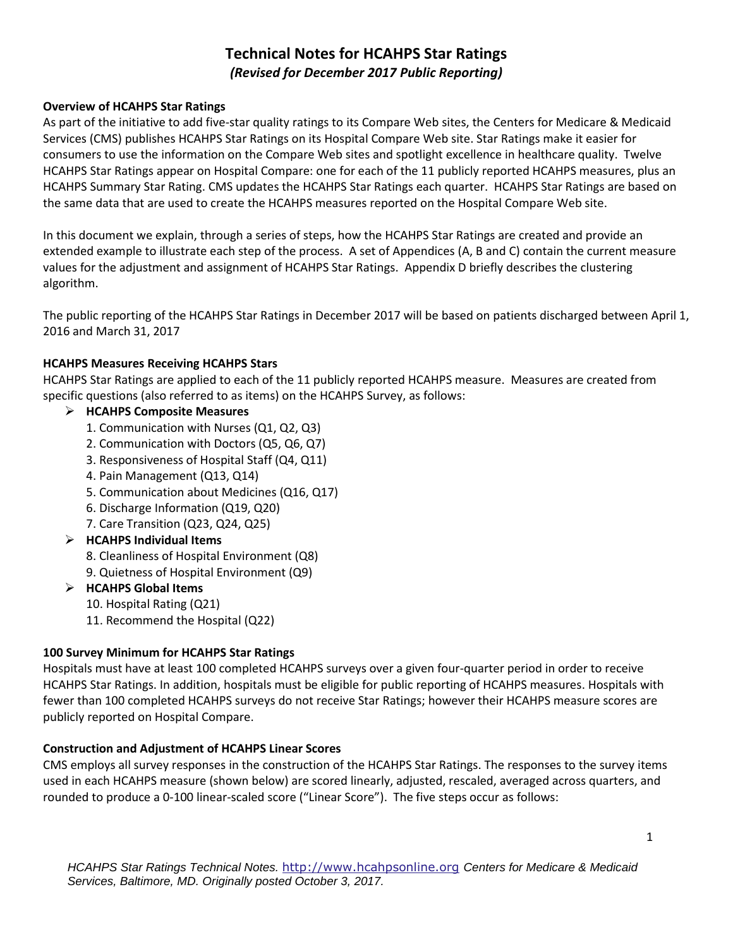# **Technical Notes for HCAHPS Star Ratings**  *(Revised for December 2017 Public Reporting)*

### **Overview of HCAHPS Star Ratings**

As part of the initiative to add five-star quality ratings to its Compare Web sites, the Centers for Medicare & Medicaid Services (CMS) publishes HCAHPS Star Ratings on its Hospital Compare Web site. Star Ratings make it easier for consumers to use the information on the Compare Web sites and spotlight excellence in healthcare quality. Twelve HCAHPS Star Ratings appear on Hospital Compare: one for each of the 11 publicly reported HCAHPS measures, plus an HCAHPS Summary Star Rating. CMS updates the HCAHPS Star Ratings each quarter. HCAHPS Star Ratings are based on the same data that are used to create the HCAHPS measures reported on the Hospital Compare Web site.

In this document we explain, through a series of steps, how the HCAHPS Star Ratings are created and provide an extended example to illustrate each step of the process. A set of Appendices (A, B and C) contain the current measure values for the adjustment and assignment of HCAHPS Star Ratings. Appendix D briefly describes the clustering algorithm.

The public reporting of the HCAHPS Star Ratings in December 2017 will be based on patients discharged between April 1, 2016 and March 31, 2017

### **HCAHPS Measures Receiving HCAHPS Stars**

HCAHPS Star Ratings are applied to each of the 11 publicly reported HCAHPS measure. Measures are created from specific questions (also referred to as items) on the HCAHPS Survey, as follows:

### **HCAHPS Composite Measures**

- 1. Communication with Nurses (Q1, Q2, Q3)
- 2. Communication with Doctors (Q5, Q6, Q7)
- 3. Responsiveness of Hospital Staff (Q4, Q11)
- 4. Pain Management (Q13, Q14)
- 5. Communication about Medicines (Q16, Q17)
- 6. Discharge Information (Q19, Q20)
- 7. Care Transition (Q23, Q24, Q25)

### **HCAHPS Individual Items**

- 8. Cleanliness of Hospital Environment (Q8)
- 9. Quietness of Hospital Environment (Q9)

### **HCAHPS Global Items**

- 10. Hospital Rating (Q21)
- 11. Recommend the Hospital (Q22)

### **100 Survey Minimum for HCAHPS Star Ratings**

Hospitals must have at least 100 completed HCAHPS surveys over a given four-quarter period in order to receive HCAHPS Star Ratings. In addition, hospitals must be eligible for public reporting of HCAHPS measures. Hospitals with fewer than 100 completed HCAHPS surveys do not receive Star Ratings; however their HCAHPS measure scores are publicly reported on Hospital Compare.

### **Construction and Adjustment of HCAHPS Linear Scores**

CMS employs all survey responses in the construction of the HCAHPS Star Ratings. The responses to the survey items used in each HCAHPS measure (shown below) are scored linearly, adjusted, rescaled, averaged across quarters, and rounded to produce a 0-100 linear-scaled score ("Linear Score"). The five steps occur as follows: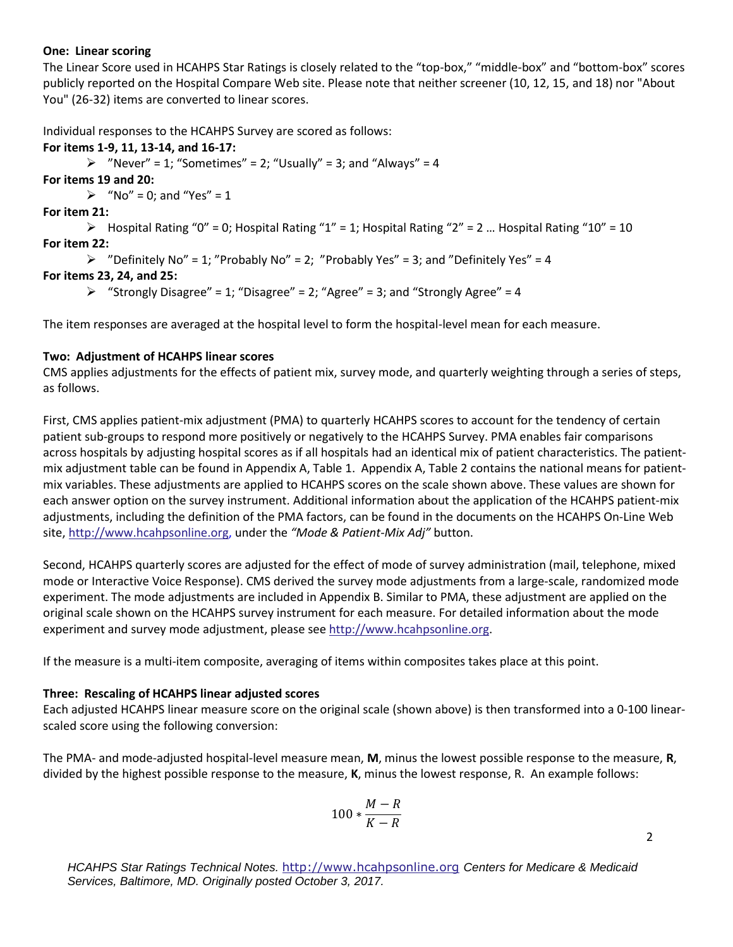### **One: Linear scoring**

The Linear Score used in HCAHPS Star Ratings is closely related to the "top-box," "middle-box" and "bottom-box" scores publicly reported on the Hospital Compare Web site. Please note that neither screener (10, 12, 15, and 18) nor "About You" (26-32) items are converted to linear scores.

Individual responses to the HCAHPS Survey are scored as follows:

### **For items 1-9, 11, 13-14, and 16-17:**

 $\triangleright$  "Never" = 1; "Sometimes" = 2; "Usually" = 3; and "Always" = 4

**For items 19 and 20:** 

 $\triangleright$  "No" = 0; and "Yes" = 1

**For item 21:** 

 $\triangleright$  Hospital Rating "0" = 0; Hospital Rating "1" = 1; Hospital Rating "2" = 2 ... Hospital Rating "10" = 10 **For item 22:** 

```
\triangleright "Definitely No" = 1; "Probably No" = 2; "Probably Yes" = 3; and "Definitely Yes" = 4
```
### **For items 23, 24, and 25:**

 $\triangleright$  "Strongly Disagree" = 1; "Disagree" = 2; "Agree" = 3; and "Strongly Agree" = 4

The item responses are averaged at the hospital level to form the hospital-level mean for each measure.

### **Two: Adjustment of HCAHPS linear scores**

CMS applies adjustments for the effects of patient mix, survey mode, and quarterly weighting through a series of steps, as follows.

First, CMS applies patient-mix adjustment (PMA) to quarterly HCAHPS scores to account for the tendency of certain patient sub-groups to respond more positively or negatively to the HCAHPS Survey. PMA enables fair comparisons across hospitals by adjusting hospital scores as if all hospitals had an identical mix of patient characteristics. The patientmix adjustment table can be found in Appendix A, Table 1. Appendix A, Table 2 contains the national means for patientmix variables. These adjustments are applied to HCAHPS scores on the scale shown above. These values are shown for each answer option on the survey instrument. Additional information about the application of the HCAHPS patient-mix adjustments, including the definition of the PMA factors, can be found in the documents on the HCAHPS On-Line Web site, [http://www.hcahpsonline.org,](http://www.hcahpsonline.org/) under the *"Mode & Patient-Mix Adj"* button.

Second, HCAHPS quarterly scores are adjusted for the effect of mode of survey administration (mail, telephone, mixed mode or Interactive Voice Response). CMS derived the survey mode adjustments from a large-scale, randomized mode experiment. The mode adjustments are included in Appendix B. Similar to PMA, these adjustment are applied on the original scale shown on the HCAHPS survey instrument for each measure. For detailed information about the mode experiment and survey mode adjustment, please see [http://www.hcahpsonline.org.](http://www.hcahpsonline.org/)

If the measure is a multi-item composite, averaging of items within composites takes place at this point.

### **Three: Rescaling of HCAHPS linear adjusted scores**

Each adjusted HCAHPS linear measure score on the original scale (shown above) is then transformed into a 0-100 linearscaled score using the following conversion:

The PMA- and mode-adjusted hospital-level measure mean, **M**, minus the lowest possible response to the measure, **R**, divided by the highest possible response to the measure, **K**, minus the lowest response, R. An example follows:

$$
100*\frac{M-R}{K-R}
$$

2

*HCAHPS Star Ratings Technical Notes.* [http://www.hcahpsonline.org](http://www.hcahpsonline.org/) *Centers for Medicare & Medicaid Services, Baltimore, MD. Originally posted October 3, 2017.*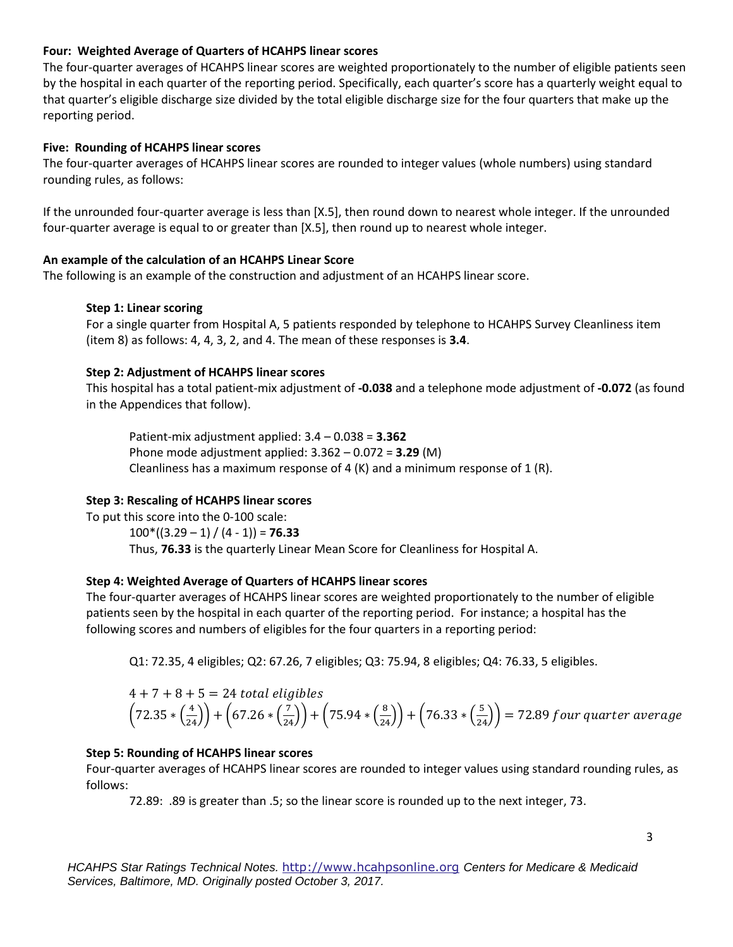### **Four: Weighted Average of Quarters of HCAHPS linear scores**

The four-quarter averages of HCAHPS linear scores are weighted proportionately to the number of eligible patients seen by the hospital in each quarter of the reporting period. Specifically, each quarter's score has a quarterly weight equal to that quarter's eligible discharge size divided by the total eligible discharge size for the four quarters that make up the reporting period.

### **Five: Rounding of HCAHPS linear scores**

The four-quarter averages of HCAHPS linear scores are rounded to integer values (whole numbers) using standard rounding rules, as follows:

If the unrounded four-quarter average is less than [X.5], then round down to nearest whole integer. If the unrounded four-quarter average is equal to or greater than [X.5], then round up to nearest whole integer.

### **An example of the calculation of an HCAHPS Linear Score**

The following is an example of the construction and adjustment of an HCAHPS linear score.

### **Step 1: Linear scoring**

For a single quarter from Hospital A, 5 patients responded by telephone to HCAHPS Survey Cleanliness item (item 8) as follows: 4, 4, 3, 2, and 4. The mean of these responses is **3.4**.

### **Step 2: Adjustment of HCAHPS linear scores**

This hospital has a total patient-mix adjustment of **-0.038** and a telephone mode adjustment of **-0.072** (as found in the Appendices that follow).

Patient-mix adjustment applied: 3.4 – 0.038 = **3.362**  Phone mode adjustment applied: 3.362 – 0.072 = **3.29** (M) Cleanliness has a maximum response of 4  $(K)$  and a minimum response of 1  $(R)$ .

### **Step 3: Rescaling of HCAHPS linear scores**

To put this score into the 0-100 scale:  $100*(3.29 - 1) / (4 - 1) = 76.33$ Thus, **76.33** is the quarterly Linear Mean Score for Cleanliness for Hospital A.

### **Step 4: Weighted Average of Quarters of HCAHPS linear scores**

The four-quarter averages of HCAHPS linear scores are weighted proportionately to the number of eligible patients seen by the hospital in each quarter of the reporting period. For instance; a hospital has the following scores and numbers of eligibles for the four quarters in a reporting period:

Q1: 72.35, 4 eligibles; Q2: 67.26, 7 eligibles; Q3: 75.94, 8 eligibles; Q4: 76.33, 5 eligibles.

$$
4 + 7 + 8 + 5 = 24
$$
 total eligibles  
 $\left(72.35 * \left(\frac{4}{24}\right)\right) + \left(67.26 * \left(\frac{7}{24}\right)\right) + \left(75.94 * \left(\frac{8}{24}\right)\right) + \left(76.33 * \left(\frac{5}{24}\right)\right) = 72.89$  four quarter average

### **Step 5: Rounding of HCAHPS linear scores**

Four-quarter averages of HCAHPS linear scores are rounded to integer values using standard rounding rules, as follows:

72.89: .89 is greater than .5; so the linear score is rounded up to the next integer, 73.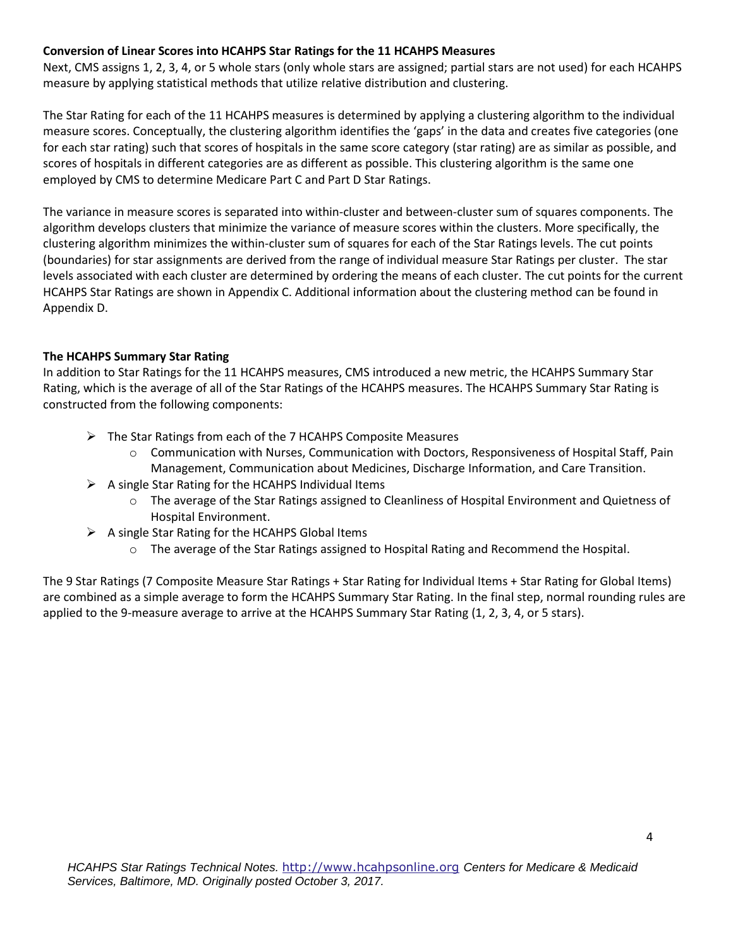### **Conversion of Linear Scores into HCAHPS Star Ratings for the 11 HCAHPS Measures**

Next, CMS assigns 1, 2, 3, 4, or 5 whole stars (only whole stars are assigned; partial stars are not used) for each HCAHPS measure by applying statistical methods that utilize relative distribution and clustering.

The Star Rating for each of the 11 HCAHPS measures is determined by applying a clustering algorithm to the individual measure scores. Conceptually, the clustering algorithm identifies the 'gaps' in the data and creates five categories (one for each star rating) such that scores of hospitals in the same score category (star rating) are as similar as possible, and scores of hospitals in different categories are as different as possible. This clustering algorithm is the same one employed by CMS to determine Medicare Part C and Part D Star Ratings.

The variance in measure scores is separated into within-cluster and between-cluster sum of squares components. The algorithm develops clusters that minimize the variance of measure scores within the clusters. More specifically, the clustering algorithm minimizes the within-cluster sum of squares for each of the Star Ratings levels. The cut points (boundaries) for star assignments are derived from the range of individual measure Star Ratings per cluster. The star levels associated with each cluster are determined by ordering the means of each cluster. The cut points for the current HCAHPS Star Ratings are shown in Appendix C. Additional information about the clustering method can be found in Appendix D.

### **The HCAHPS Summary Star Rating**

In addition to Star Ratings for the 11 HCAHPS measures, CMS introduced a new metric, the HCAHPS Summary Star Rating, which is the average of all of the Star Ratings of the HCAHPS measures. The HCAHPS Summary Star Rating is constructed from the following components:

- $\triangleright$  The Star Ratings from each of the 7 HCAHPS Composite Measures
	- $\circ$  Communication with Nurses, Communication with Doctors, Responsiveness of Hospital Staff, Pain Management, Communication about Medicines, Discharge Information, and Care Transition.
- $\triangleright$  A single Star Rating for the HCAHPS Individual Items
	- $\circ$  The average of the Star Ratings assigned to Cleanliness of Hospital Environment and Quietness of Hospital Environment.
- $\triangleright$  A single Star Rating for the HCAHPS Global Items
	- $\circ$  The average of the Star Ratings assigned to Hospital Rating and Recommend the Hospital.

The 9 Star Ratings (7 Composite Measure Star Ratings + Star Rating for Individual Items + Star Rating for Global Items) are combined as a simple average to form the HCAHPS Summary Star Rating. In the final step, normal rounding rules are applied to the 9-measure average to arrive at the HCAHPS Summary Star Rating (1, 2, 3, 4, or 5 stars).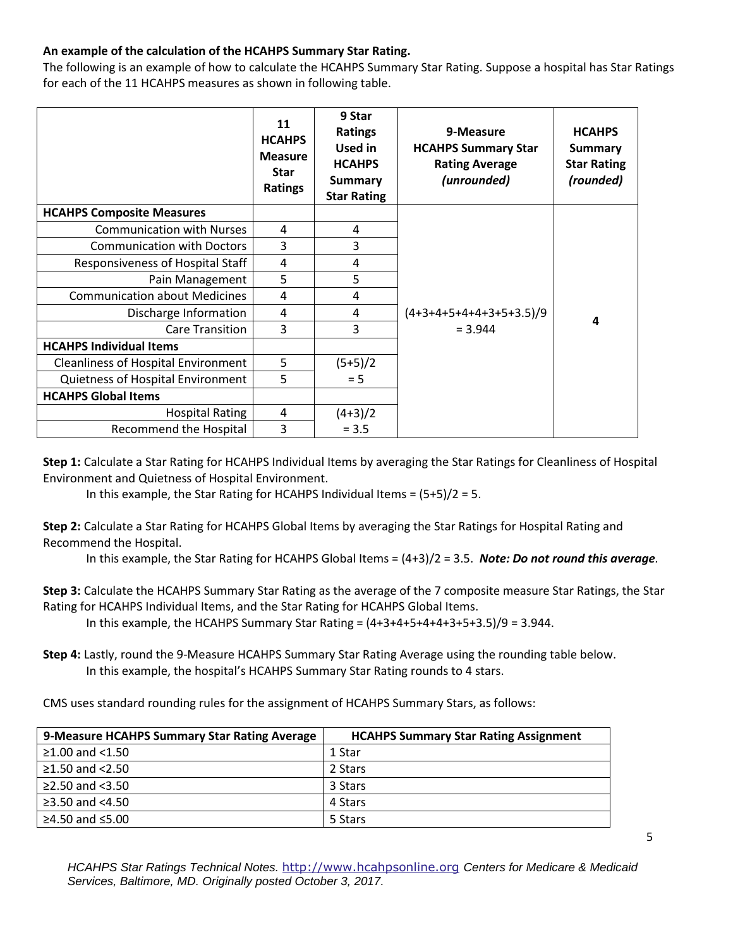### **An example of the calculation of the HCAHPS Summary Star Rating.**

The following is an example of how to calculate the HCAHPS Summary Star Rating. Suppose a hospital has Star Ratings for each of the 11 HCAHPS measures as shown in following table.

|                                            | 11<br><b>HCAHPS</b><br><b>Measure</b><br><b>Star</b><br>Ratings | 9 Star<br><b>Ratings</b><br><b>Used in</b><br><b>HCAHPS</b><br><b>Summary</b><br><b>Star Rating</b> | 9-Measure<br><b>HCAHPS Summary Star</b><br><b>Rating Average</b><br>(unrounded) | <b>HCAHPS</b><br><b>Summary</b><br><b>Star Rating</b><br>(rounded) |
|--------------------------------------------|-----------------------------------------------------------------|-----------------------------------------------------------------------------------------------------|---------------------------------------------------------------------------------|--------------------------------------------------------------------|
| <b>HCAHPS Composite Measures</b>           |                                                                 |                                                                                                     |                                                                                 |                                                                    |
| <b>Communication with Nurses</b>           | 4                                                               | 4                                                                                                   |                                                                                 |                                                                    |
| <b>Communication with Doctors</b>          | 3                                                               | 3                                                                                                   |                                                                                 |                                                                    |
| Responsiveness of Hospital Staff           | 4                                                               | 4                                                                                                   |                                                                                 |                                                                    |
| Pain Management                            | 5                                                               | 5                                                                                                   |                                                                                 |                                                                    |
| <b>Communication about Medicines</b>       | 4                                                               | 4                                                                                                   |                                                                                 |                                                                    |
| Discharge Information                      | 4                                                               | 4                                                                                                   | $(4+3+4+5+4+4+3+5+3.5)/9$                                                       | 4                                                                  |
| <b>Care Transition</b>                     | 3                                                               | 3                                                                                                   | $= 3.944$                                                                       |                                                                    |
| <b>HCAHPS Individual Items</b>             |                                                                 |                                                                                                     |                                                                                 |                                                                    |
| <b>Cleanliness of Hospital Environment</b> | 5                                                               | $(5+5)/2$                                                                                           |                                                                                 |                                                                    |
| Quietness of Hospital Environment          | 5                                                               | $= 5$                                                                                               |                                                                                 |                                                                    |
| <b>HCAHPS Global Items</b>                 |                                                                 |                                                                                                     |                                                                                 |                                                                    |
| <b>Hospital Rating</b>                     | 4                                                               | $(4+3)/2$                                                                                           |                                                                                 |                                                                    |
| Recommend the Hospital                     | 3                                                               | $= 3.5$                                                                                             |                                                                                 |                                                                    |

**Step 1:** Calculate a Star Rating for HCAHPS Individual Items by averaging the Star Ratings for Cleanliness of Hospital Environment and Quietness of Hospital Environment.

In this example, the Star Rating for HCAHPS Individual Items =  $(5+5)/2 = 5$ .

**Step 2:** Calculate a Star Rating for HCAHPS Global Items by averaging the Star Ratings for Hospital Rating and Recommend the Hospital.

In this example, the Star Rating for HCAHPS Global Items = (4+3)/2 = 3.5. *Note: Do not round this average.*

**Step 3:** Calculate the HCAHPS Summary Star Rating as the average of the 7 composite measure Star Ratings, the Star Rating for HCAHPS Individual Items, and the Star Rating for HCAHPS Global Items.

In this example, the HCAHPS Summary Star Rating =  $(4+3+4+5+4+4+3+5+3.5)/9 = 3.944$ .

**Step 4:** Lastly, round the 9-Measure HCAHPS Summary Star Rating Average using the rounding table below. In this example, the hospital's HCAHPS Summary Star Rating rounds to 4 stars.

CMS uses standard rounding rules for the assignment of HCAHPS Summary Stars, as follows:

| 9-Measure HCAHPS Summary Star Rating Average | <b>HCAHPS Summary Star Rating Assignment</b> |
|----------------------------------------------|----------------------------------------------|
| $≥1.00$ and <1.50                            | 1 Star                                       |
| ≥1.50 and $<$ 2.50                           | 2 Stars                                      |
| $\geq$ 2.50 and <3.50                        | 3 Stars                                      |
| $\geq$ 3.50 and <4.50                        | 4 Stars                                      |
| ≥4.50 and ≤5.00                              | 5 Stars                                      |

*HCAHPS Star Ratings Technical Notes.* [http://www.hcahpsonline.org](http://www.hcahpsonline.org/) *Centers for Medicare & Medicaid Services, Baltimore, MD. Originally posted October 3, 2017.*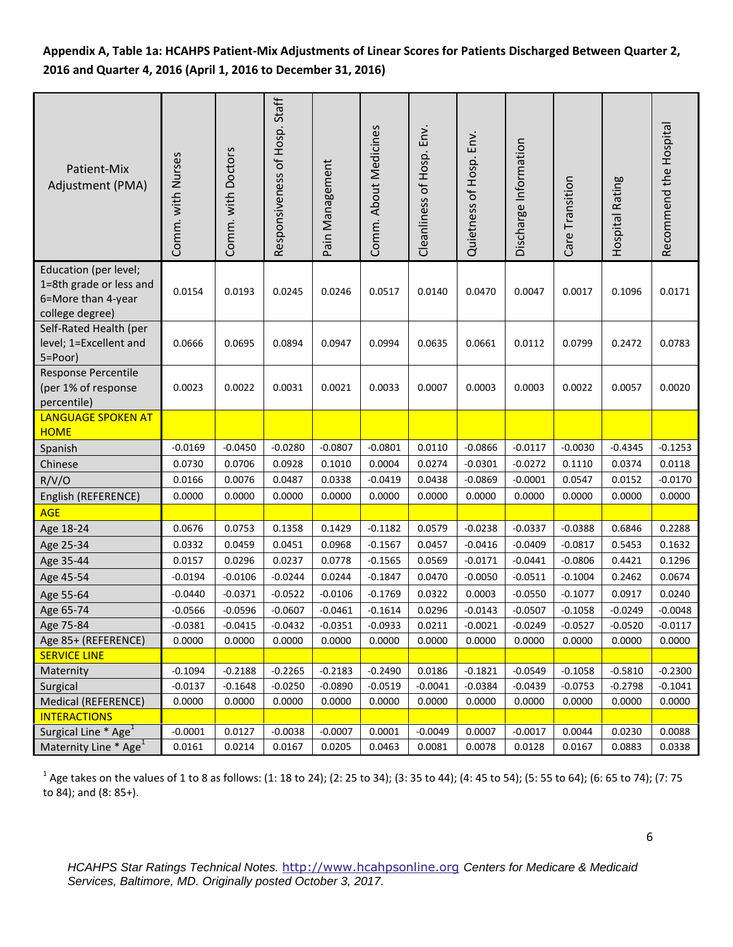# **Appendix A, Table 1a: HCAHPS Patient-Mix Adjustments of Linear Scores for Patients Discharged Between Quarter 2, 2016 and Quarter 4, 2016 (April 1, 2016 to December 31, 2016)**

| Patient-Mix<br>Adjustment (PMA)                                                           | Comm. with Nurses | Comm. with Doctors | Responsiveness of Hosp. Staff | Pain Management | Comm. About Medicines | Cleanliness of Hosp. Env. | Quietness of Hosp. Env. | Discharge Information | Care Transition | Hospital Rating | Recommend the Hospital |
|-------------------------------------------------------------------------------------------|-------------------|--------------------|-------------------------------|-----------------|-----------------------|---------------------------|-------------------------|-----------------------|-----------------|-----------------|------------------------|
| Education (per level;<br>1=8th grade or less and<br>6=More than 4-year<br>college degree) | 0.0154            | 0.0193             | 0.0245                        | 0.0246          | 0.0517                | 0.0140                    | 0.0470                  | 0.0047                | 0.0017          | 0.1096          | 0.0171                 |
| Self-Rated Health (per<br>level; 1=Excellent and<br>5=Poor)                               | 0.0666            | 0.0695             | 0.0894                        | 0.0947          | 0.0994                | 0.0635                    | 0.0661                  | 0.0112                | 0.0799          | 0.2472          | 0.0783                 |
| Response Percentile<br>(per 1% of response<br>percentile)                                 | 0.0023            | 0.0022             | 0.0031                        | 0.0021          | 0.0033                | 0.0007                    | 0.0003                  | 0.0003                | 0.0022          | 0.0057          | 0.0020                 |
| <b>LANGUAGE SPOKEN AT</b><br><b>HOME</b>                                                  |                   |                    |                               |                 |                       |                           |                         |                       |                 |                 |                        |
| Spanish                                                                                   | $-0.0169$         | $-0.0450$          | $-0.0280$                     | $-0.0807$       | $-0.0801$             | 0.0110                    | $-0.0866$               | $-0.0117$             | $-0.0030$       | $-0.4345$       | $-0.1253$              |
| Chinese                                                                                   | 0.0730            | 0.0706             | 0.0928                        | 0.1010          | 0.0004                | 0.0274                    | $-0.0301$               | $-0.0272$             | 0.1110          | 0.0374          | 0.0118                 |
| R/V/O                                                                                     | 0.0166            | 0.0076             | 0.0487                        | 0.0338          | $-0.0419$             | 0.0438                    | $-0.0869$               | $-0.0001$             | 0.0547          | 0.0152          | $-0.0170$              |
| English (REFERENCE)                                                                       | 0.0000            | 0.0000             | 0.0000                        | 0.0000          | 0.0000                | 0.0000                    | 0.0000                  | 0.0000                | 0.0000          | 0.0000          | 0.0000                 |
| <b>AGE</b>                                                                                |                   |                    |                               |                 |                       |                           |                         |                       |                 |                 |                        |
| Age 18-24                                                                                 | 0.0676            | 0.0753             | 0.1358                        | 0.1429          | $-0.1182$             | 0.0579                    | $-0.0238$               | $-0.0337$             | $-0.0388$       | 0.6846          | 0.2288                 |
| Age 25-34                                                                                 | 0.0332            | 0.0459             | 0.0451                        | 0.0968          | $-0.1567$             | 0.0457                    | $-0.0416$               | $-0.0409$             | $-0.0817$       | 0.5453          | 0.1632                 |
| Age 35-44                                                                                 | 0.0157            | 0.0296             | 0.0237                        | 0.0778          | $-0.1565$             | 0.0569                    | $-0.0171$               | $-0.0441$             | $-0.0806$       | 0.4421          | 0.1296                 |
| Age 45-54                                                                                 | $-0.0194$         | $-0.0106$          | $-0.0244$                     | 0.0244          | $-0.1847$             | 0.0470                    | $-0.0050$               | $-0.0511$             | $-0.1004$       | 0.2462          | 0.0674                 |
| Age 55-64                                                                                 | $-0.0440$         | $-0.0371$          | $-0.0522$                     | $-0.0106$       | $-0.1769$             | 0.0322                    | 0.0003                  | $-0.0550$             | $-0.1077$       | 0.0917          | 0.0240                 |
| Age 65-74                                                                                 | $-0.0566$         | $-0.0596$          | $-0.0607$                     | $-0.0461$       | $-0.1614$             | 0.0296                    | $-0.0143$               | $-0.0507$             | $-0.1058$       | $-0.0249$       | $-0.0048$              |
| Age 75-84                                                                                 | $-0.0381$         | $-0.0415$          | $-0.0432$                     | $-0.0351$       | $-0.0933$             | 0.0211                    | $-0.0021$               | $-0.0249$             | $-0.0527$       | $-0.0520$       | $-0.0117$              |
| Age 85+ (REFERENCE)                                                                       | 0.0000            | 0.0000             | 0.0000                        | 0.0000          | 0.0000                | 0.0000                    | 0.0000                  | 0.0000                | 0.0000          | 0.0000          | 0.0000                 |
| <b>SERVICE LINE</b>                                                                       |                   |                    |                               |                 |                       |                           |                         |                       |                 |                 |                        |
| Maternity                                                                                 | $-0.1094$         | $-0.2188$          | $-0.2265$                     | $-0.2183$       | $-0.2490$             | 0.0186                    | $-0.1821$               | $-0.0549$             | $-0.1058$       | $-0.5810$       | $-0.2300$              |
| Surgical                                                                                  | $-0.0137$         | $-0.1648$          | $-0.0250$                     | $-0.0890$       | $-0.0519$             | $-0.0041$                 | $-0.0384$               | $-0.0439$             | $-0.0753$       | $-0.2798$       | $-0.1041$              |
| Medical (REFERENCE)                                                                       | 0.0000            | 0.0000             | 0.0000                        | 0.0000          | 0.0000                | 0.0000                    | 0.0000                  | 0.0000                | 0.0000          | 0.0000          | 0.0000                 |
| <b>INTERACTIONS</b>                                                                       |                   |                    |                               |                 |                       |                           |                         |                       |                 |                 |                        |
| Surgical Line * Age <sup>1</sup>                                                          | $-0.0001$         | 0.0127             | $-0.0038$                     | $-0.0007$       | 0.0001                | $-0.0049$                 | 0.0007                  | $-0.0017$             | 0.0044          | 0.0230          | 0.0088                 |
| Maternity Line * Age <sup>1</sup>                                                         | 0.0161            | 0.0214             | 0.0167                        | 0.0205          | 0.0463                | 0.0081                    | 0.0078                  | 0.0128                | 0.0167          | 0.0883          | 0.0338                 |

 $^1$  Age takes on the values of 1 to 8 as follows: (1: 18 to 24); (2: 25 to 34); (3: 35 to 44); (4: 45 to 54); (5: 55 to 64); (6: 65 to 74); (7: 75 to 84); and (8: 85+).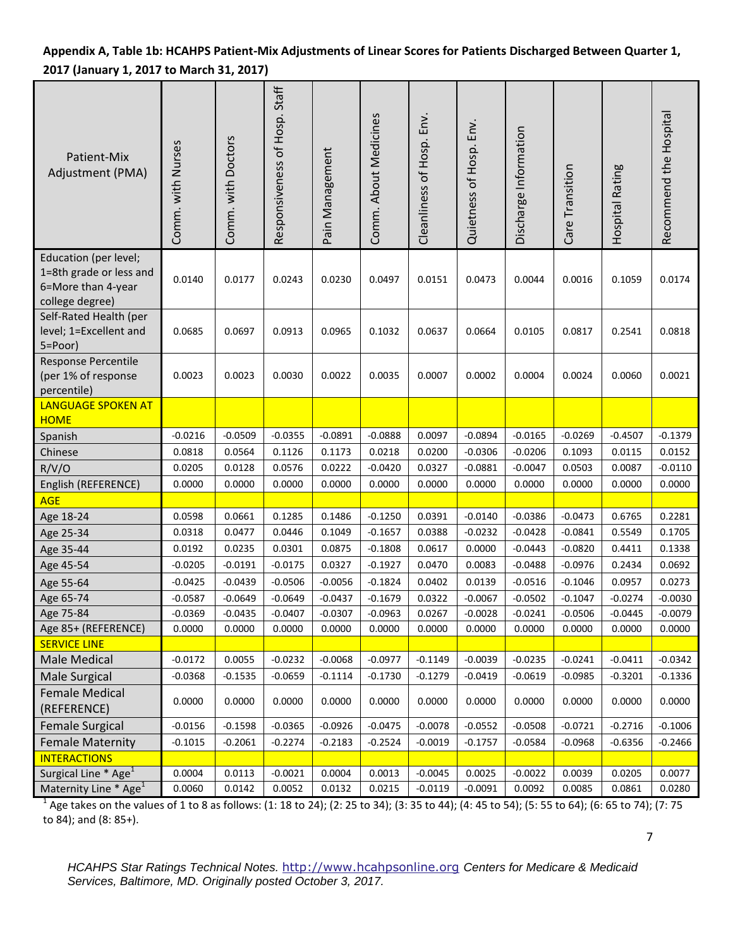# **Appendix A, Table 1b: HCAHPS Patient-Mix Adjustments of Linear Scores for Patients Discharged Between Quarter 1, 2017 (January 1, 2017 to March 31, 2017)**

| Patient-Mix<br>Adjustment (PMA)                                                           | Comm. with Nurses   | Comm. with Doctors | Responsiveness of Hosp. Staff | Pain Management | Comm. About Medicines | Cleanliness of Hosp. Env. | Quietness of Hosp. Env. | Discharge Information | Care Transition     | Hospital Rating | Recommend the Hospital |
|-------------------------------------------------------------------------------------------|---------------------|--------------------|-------------------------------|-----------------|-----------------------|---------------------------|-------------------------|-----------------------|---------------------|-----------------|------------------------|
| Education (per level;<br>1=8th grade or less and<br>6=More than 4-year<br>college degree) | 0.0140              | 0.0177             | 0.0243                        | 0.0230          | 0.0497                | 0.0151                    | 0.0473                  | 0.0044                | 0.0016              | 0.1059          | 0.0174                 |
| Self-Rated Health (per<br>level; 1=Excellent and<br>5=Poor)                               | 0.0685              | 0.0697             | 0.0913                        | 0.0965          | 0.1032                | 0.0637                    | 0.0664                  | 0.0105                | 0.0817              | 0.2541          | 0.0818                 |
| <b>Response Percentile</b><br>(per 1% of response<br>percentile)                          | 0.0023              | 0.0023             | 0.0030                        | 0.0022          | 0.0035                | 0.0007                    | 0.0002                  | 0.0004                | 0.0024              | 0.0060          | 0.0021                 |
| <b>LANGUAGE SPOKEN AT</b>                                                                 |                     |                    |                               |                 |                       |                           |                         |                       |                     |                 |                        |
| <b>HOME</b>                                                                               |                     | $-0.0509$          | $-0.0355$                     | $-0.0891$       | $-0.0888$             |                           | $-0.0894$               | $-0.0165$             |                     | $-0.4507$       | $-0.1379$              |
| Spanish<br>Chinese                                                                        | $-0.0216$<br>0.0818 | 0.0564             | 0.1126                        | 0.1173          | 0.0218                | 0.0097<br>0.0200          | $-0.0306$               | $-0.0206$             | $-0.0269$<br>0.1093 | 0.0115          | 0.0152                 |
|                                                                                           | 0.0205              | 0.0128             | 0.0576                        | 0.0222          | $-0.0420$             | 0.0327                    | $-0.0881$               | $-0.0047$             | 0.0503              | 0.0087          | $-0.0110$              |
| R/V/O<br>English (REFERENCE)                                                              | 0.0000              | 0.0000             | 0.0000                        | 0.0000          | 0.0000                | 0.0000                    | 0.0000                  | 0.0000                | 0.0000              | 0.0000          | 0.0000                 |
| <b>AGE</b>                                                                                |                     |                    |                               |                 |                       |                           |                         |                       |                     |                 |                        |
| Age 18-24                                                                                 | 0.0598              | 0.0661             | 0.1285                        | 0.1486          | $-0.1250$             | 0.0391                    | $-0.0140$               | $-0.0386$             | $-0.0473$           | 0.6765          | 0.2281                 |
| Age 25-34                                                                                 | 0.0318              | 0.0477             | 0.0446                        | 0.1049          | $-0.1657$             | 0.0388                    | $-0.0232$               | $-0.0428$             | $-0.0841$           | 0.5549          | 0.1705                 |
| Age 35-44                                                                                 | 0.0192              | 0.0235             | 0.0301                        | 0.0875          | $-0.1808$             | 0.0617                    | 0.0000                  | $-0.0443$             | $-0.0820$           | 0.4411          | 0.1338                 |
| Age 45-54                                                                                 | $-0.0205$           | $-0.0191$          | $-0.0175$                     | 0.0327          | $-0.1927$             | 0.0470                    | 0.0083                  | $-0.0488$             | $-0.0976$           | 0.2434          | 0.0692                 |
| Age 55-64                                                                                 | $-0.0425$           | $-0.0439$          | $-0.0506$                     | $-0.0056$       | $-0.1824$             | 0.0402                    | 0.0139                  | $-0.0516$             | $-0.1046$           | 0.0957          | 0.0273                 |
| Age 65-74                                                                                 | $-0.0587$           | $-0.0649$          | $-0.0649$                     | $-0.0437$       | $-0.1679$             | 0.0322                    | $-0.0067$               | $-0.0502$             | $-0.1047$           | $-0.0274$       | $-0.0030$              |
| Age 75-84                                                                                 | $-0.0369$           | $-0.0435$          | $-0.0407$                     | $-0.0307$       | $-0.0963$             | 0.0267                    | $-0.0028$               | $-0.0241$             | $-0.0506$           | $-0.0445$       | $-0.0079$              |
| Age 85+ (REFERENCE)                                                                       | 0.0000              | 0.0000             | 0.0000                        | 0.0000          | 0.0000                | 0.0000                    | 0.0000                  | 0.0000                | 0.0000              | 0.0000          | 0.0000                 |
| <b>SERVICE LINE</b>                                                                       |                     |                    |                               |                 |                       |                           |                         |                       |                     |                 |                        |
| Male Medical                                                                              | $-0.0172$           | 0.0055             | $-0.0232$                     | $-0.0068$       | $-0.0977$             | $-0.1149$                 | $-0.0039$               | $-0.0235$             | $-0.0241$           | $-0.0411$       | $-0.0342$              |
| Male Surgical                                                                             | $-0.0368$           | $-0.1535$          | $-0.0659$                     | $-0.1114$       | $-0.1730$             | $-0.1279$                 | $-0.0419$               | $-0.0619$             | $-0.0985$           | $-0.3201$       | $-0.1336$              |
| <b>Female Medical</b><br>(REFERENCE)                                                      | 0.0000              | 0.0000             | 0.0000                        | 0.0000          | 0.0000                | 0.0000                    | 0.0000                  | 0.0000                | 0.0000              | 0.0000          | 0.0000                 |
| <b>Female Surgical</b>                                                                    | $-0.0156$           | $-0.1598$          | $-0.0365$                     | $-0.0926$       | $-0.0475$             | $-0.0078$                 | $-0.0552$               | $-0.0508$             | $-0.0721$           | $-0.2716$       | $-0.1006$              |
| <b>Female Maternity</b>                                                                   | $-0.1015$           | $-0.2061$          | $-0.2274$                     | $-0.2183$       | $-0.2524$             | $-0.0019$                 | $-0.1757$               | $-0.0584$             | $-0.0968$           | $-0.6356$       | $-0.2466$              |
| <b>INTERACTIONS</b>                                                                       |                     |                    |                               |                 |                       |                           |                         |                       |                     |                 |                        |
| Surgical Line * Age <sup>1</sup>                                                          | 0.0004              | 0.0113             | $-0.0021$                     | 0.0004          | 0.0013                | $-0.0045$                 | 0.0025                  | $-0.0022$             | 0.0039              | 0.0205          | 0.0077                 |
| Maternity Line * Age <sup>1</sup>                                                         | 0.0060              | 0.0142             | 0.0052                        | 0.0132          | 0.0215                | $-0.0119$                 | $-0.0091$               | 0.0092                | 0.0085              | 0.0861          | 0.0280                 |

1 Age takes on the values of 1 to 8 as follows: (1: 18 to 24); (2: 25 to 34); (3: 35 to 44); (4: 45 to 54); (5: 55 to 64); (6: 65 to 74); (7: 75 to 84); and (8: 85+).

*HCAHPS Star Ratings Technical Notes.* [http://www.hcahpsonline.org](http://www.hcahpsonline.org/) *Centers for Medicare & Medicaid Services, Baltimore, MD. Originally posted October 3, 2017.*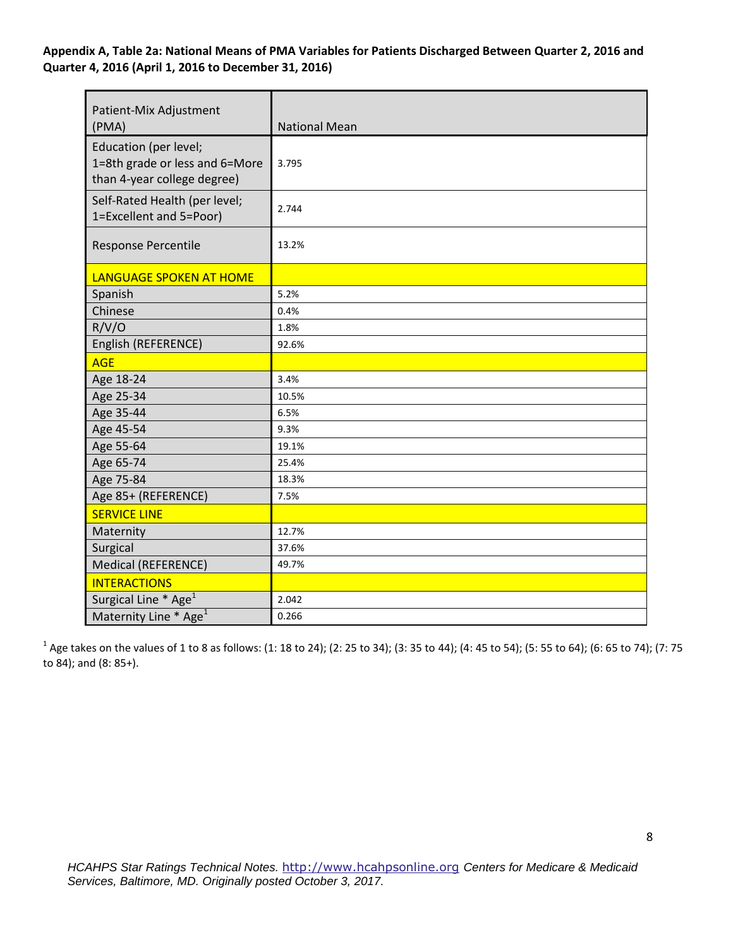### **Appendix A, Table 2a: National Means of PMA Variables for Patients Discharged Between Quarter 2, 2016 and Quarter 4, 2016 (April 1, 2016 to December 31, 2016)**

| Patient-Mix Adjustment<br>(PMA)                                                        | <b>National Mean</b> |
|----------------------------------------------------------------------------------------|----------------------|
| Education (per level;<br>1=8th grade or less and 6=More<br>than 4-year college degree) | 3.795                |
| Self-Rated Health (per level;<br>1=Excellent and 5=Poor)                               | 2.744                |
| Response Percentile                                                                    | 13.2%                |
| <b>LANGUAGE SPOKEN AT HOME</b>                                                         |                      |
| Spanish                                                                                | 5.2%                 |
| Chinese                                                                                | 0.4%                 |
| R/V/O                                                                                  | 1.8%                 |
| English (REFERENCE)                                                                    | 92.6%                |
| <b>AGE</b>                                                                             |                      |
| Age 18-24                                                                              | 3.4%                 |
| Age 25-34                                                                              | 10.5%                |
| Age 35-44                                                                              | 6.5%                 |
| Age 45-54                                                                              | 9.3%                 |
| Age 55-64                                                                              | 19.1%                |
| Age 65-74                                                                              | 25.4%                |
| Age 75-84                                                                              | 18.3%                |
| Age 85+ (REFERENCE)                                                                    | 7.5%                 |
| <b>SERVICE LINE</b>                                                                    |                      |
| Maternity                                                                              | 12.7%                |
| Surgical                                                                               | 37.6%                |
| <b>Medical (REFERENCE)</b>                                                             | 49.7%                |
| <b>INTERACTIONS</b>                                                                    |                      |
| Surgical Line * Age <sup>1</sup>                                                       | 2.042                |
| Maternity Line * Age <sup>1</sup>                                                      | 0.266                |

 $^1$  Age takes on the values of 1 to 8 as follows: (1: 18 to 24); (2: 25 to 34); (3: 35 to 44); (4: 45 to 54); (5: 55 to 64); (6: 65 to 74); (7: 75 to 84); and (8: 85+).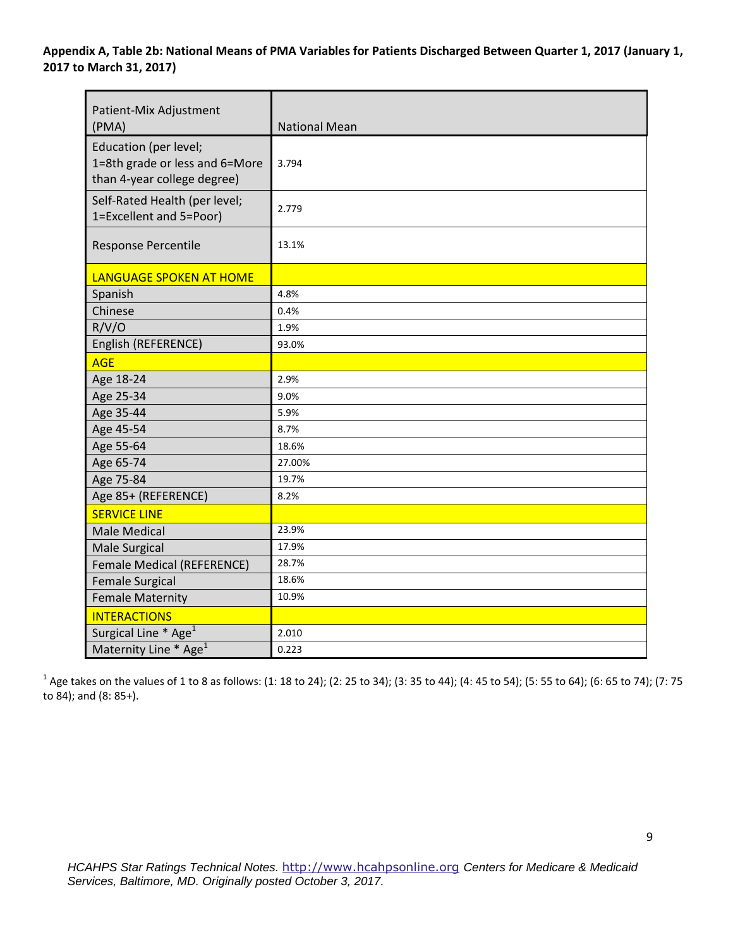| Patient-Mix Adjustment<br>(PMA)                                                        | <b>National Mean</b> |
|----------------------------------------------------------------------------------------|----------------------|
| Education (per level;<br>1=8th grade or less and 6=More<br>than 4-year college degree) | 3.794                |
| Self-Rated Health (per level;<br>1=Excellent and 5=Poor)                               | 2.779                |
| <b>Response Percentile</b>                                                             | 13.1%                |
| <b>LANGUAGE SPOKEN AT HOME</b>                                                         |                      |
| Spanish                                                                                | 4.8%                 |
| Chinese                                                                                | 0.4%                 |
| R/V/O                                                                                  | 1.9%                 |
| English (REFERENCE)                                                                    | 93.0%                |
| <b>AGE</b>                                                                             |                      |
| Age 18-24                                                                              | 2.9%                 |
| Age 25-34                                                                              | 9.0%                 |
| Age 35-44                                                                              | 5.9%                 |
| Age 45-54                                                                              | 8.7%                 |
| Age 55-64                                                                              | 18.6%                |
| Age 65-74                                                                              | 27.00%               |
| Age 75-84                                                                              | 19.7%                |
| Age 85+ (REFERENCE)                                                                    | 8.2%                 |
| <b>SERVICE LINE</b>                                                                    |                      |
| <b>Male Medical</b>                                                                    | 23.9%                |
| <b>Male Surgical</b>                                                                   | 17.9%                |
| <b>Female Medical (REFERENCE)</b>                                                      | 28.7%                |
| <b>Female Surgical</b>                                                                 | 18.6%                |
| <b>Female Maternity</b>                                                                | 10.9%                |
| <b>INTERACTIONS</b>                                                                    |                      |
| Surgical Line * Age <sup>1</sup>                                                       | 2.010                |
| Maternity Line * Age <sup>1</sup>                                                      | 0.223                |

 $^1$  Age takes on the values of 1 to 8 as follows: (1: 18 to 24); (2: 25 to 34); (3: 35 to 44); (4: 45 to 54); (5: 55 to 64); (6: 65 to 74); (7: 75 to 84); and (8: 85+).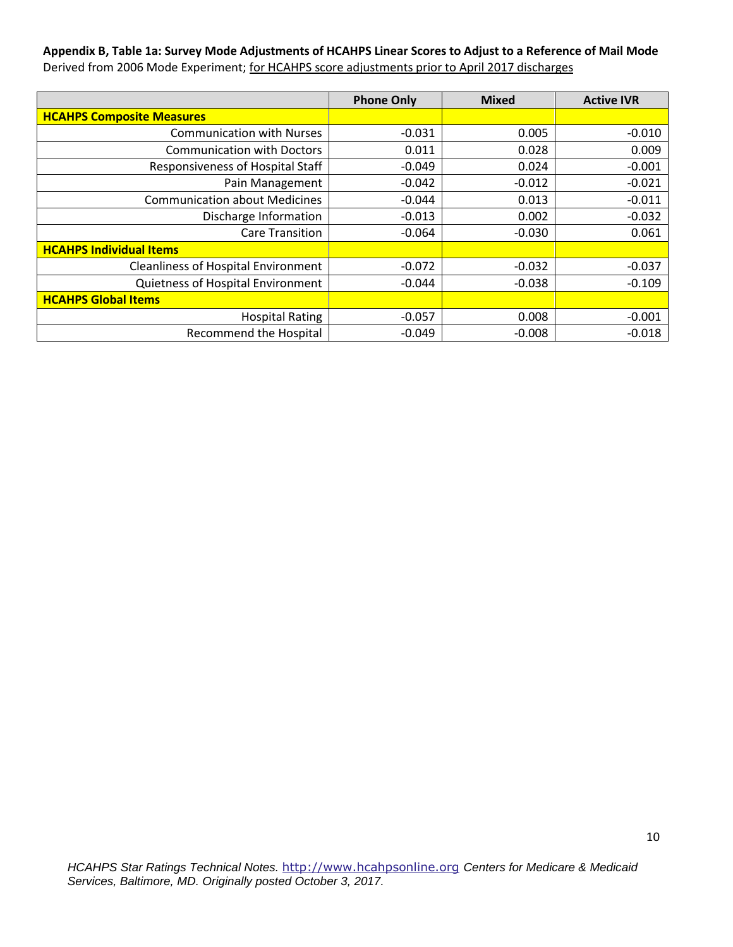# **Appendix B, Table 1a: Survey Mode Adjustments of HCAHPS Linear Scores to Adjust to a Reference of Mail Mode**  Derived from 2006 Mode Experiment; for HCAHPS score adjustments prior to April 2017 discharges

|                                            | <b>Phone Only</b> | <b>Mixed</b> | <b>Active IVR</b> |
|--------------------------------------------|-------------------|--------------|-------------------|
| <b>HCAHPS Composite Measures</b>           |                   |              |                   |
| <b>Communication with Nurses</b>           | $-0.031$          | 0.005        | $-0.010$          |
| <b>Communication with Doctors</b>          | 0.011             | 0.028        | 0.009             |
| Responsiveness of Hospital Staff           | $-0.049$          | 0.024        | $-0.001$          |
| Pain Management                            | $-0.042$          | $-0.012$     | $-0.021$          |
| <b>Communication about Medicines</b>       | $-0.044$          | 0.013        | $-0.011$          |
| Discharge Information                      | $-0.013$          | 0.002        | $-0.032$          |
| <b>Care Transition</b>                     | $-0.064$          | $-0.030$     | 0.061             |
| <b>HCAHPS Individual Items</b>             |                   |              |                   |
| <b>Cleanliness of Hospital Environment</b> | $-0.072$          | $-0.032$     | $-0.037$          |
| Quietness of Hospital Environment          | $-0.044$          | $-0.038$     | $-0.109$          |
| <b>HCAHPS Global Items</b>                 |                   |              |                   |
| <b>Hospital Rating</b>                     | $-0.057$          | 0.008        | $-0.001$          |
| <b>Recommend the Hospital</b>              | $-0.049$          | $-0.008$     | $-0.018$          |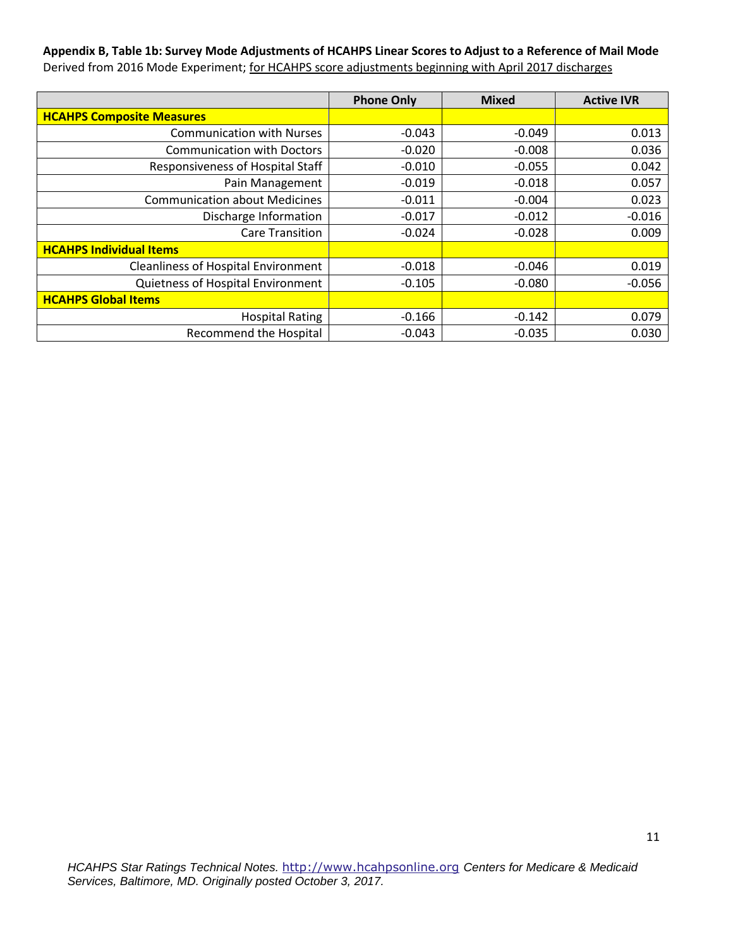### **Appendix B, Table 1b: Survey Mode Adjustments of HCAHPS Linear Scores to Adjust to a Reference of Mail Mode**  Derived from 2016 Mode Experiment; for HCAHPS score adjustments beginning with April 2017 discharges

|                                            | <b>Phone Only</b> | <b>Mixed</b> | <b>Active IVR</b> |
|--------------------------------------------|-------------------|--------------|-------------------|
| <b>HCAHPS Composite Measures</b>           |                   |              |                   |
| <b>Communication with Nurses</b>           | $-0.043$          | $-0.049$     | 0.013             |
| <b>Communication with Doctors</b>          | $-0.020$          | $-0.008$     | 0.036             |
| Responsiveness of Hospital Staff           | $-0.010$          | $-0.055$     | 0.042             |
| Pain Management                            | $-0.019$          | $-0.018$     | 0.057             |
| <b>Communication about Medicines</b>       | $-0.011$          | $-0.004$     | 0.023             |
| Discharge Information                      | $-0.017$          | $-0.012$     | $-0.016$          |
| <b>Care Transition</b>                     | $-0.024$          | $-0.028$     | 0.009             |
| <b>HCAHPS Individual Items</b>             |                   |              |                   |
| <b>Cleanliness of Hospital Environment</b> | $-0.018$          | $-0.046$     | 0.019             |
| Quietness of Hospital Environment          | $-0.105$          | $-0.080$     | $-0.056$          |
| <b>HCAHPS Global Items</b>                 |                   |              |                   |
| <b>Hospital Rating</b>                     | $-0.166$          | $-0.142$     | 0.079             |
| <b>Recommend the Hospital</b>              | $-0.043$          | $-0.035$     | 0.030             |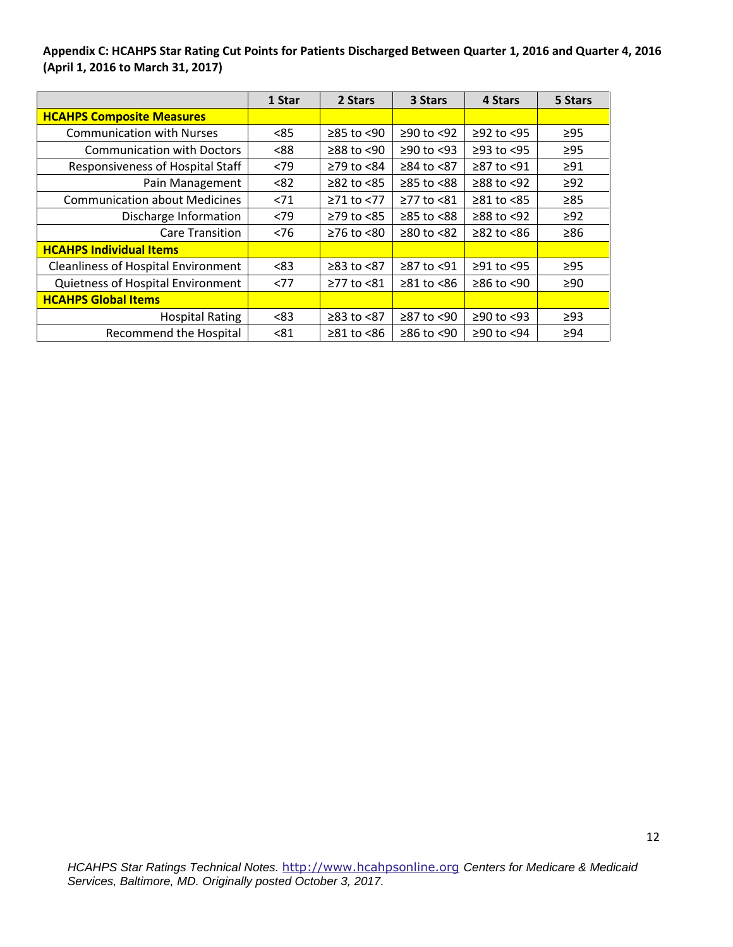**Appendix C: HCAHPS Star Rating Cut Points for Patients Discharged Between Quarter 1, 2016 and Quarter 4, 2016 (April 1, 2016 to March 31, 2017)** 

|                                            | 1 Star | 2 Stars                | 3 Stars          | 4 Stars        | 5 Stars   |
|--------------------------------------------|--------|------------------------|------------------|----------------|-----------|
| <b>HCAHPS Composite Measures</b>           |        |                        |                  |                |           |
| <b>Communication with Nurses</b>           | < 85   | $≥85$ to <90           | ≥90 to <92       | $≥92$ to <95   | $\geq$ 95 |
| <b>Communication with Doctors</b>          | <88    | $\geq$ 88 to $\leq$ 90 | $≥90$ to <93     | $≥93$ to $<95$ | $\geq$ 95 |
| Responsiveness of Hospital Staff           | < 79   | ≥79 to <84             | ≥84 to <87       | ≥87 to <91     | $\geq 91$ |
| Pain Management                            | < 82   | $\geq$ 82 to <85       | $≥85$ to $<88$   | $≥88$ to <92   | $\geq$ 92 |
| <b>Communication about Medicines</b>       | < 71   | ≥71 to <77             | ≥77 to <81       | $≥81$ to $<85$ | $\geq 85$ |
| Discharge Information                      | < 79   | $\geq$ 79 to <85       | $≥85$ to $<88$   | $≥88$ to <92   | $\geq$ 92 |
| <b>Care Transition</b>                     | < 76   | $≥76$ to $≤80$         | $≥80$ to <82     | $≥82$ to $≤86$ | $\geq 86$ |
| <b>HCAHPS Individual Items</b>             |        |                        |                  |                |           |
| <b>Cleanliness of Hospital Environment</b> | <83    | ≥83 to <87             | ≥87 to <91       | ≥91 to <95     | $\geq$ 95 |
| Quietness of Hospital Environment          | <77    | ≥77 to <81             | $\geq 81$ to <86 | $≥86$ to <90   | $\geq 90$ |
| <b>HCAHPS Global Items</b>                 |        |                        |                  |                |           |
| <b>Hospital Rating</b>                     | < 83   | $≥83$ to $≤87$         | $≥87$ to <90     | $≥90$ to <93   | $\geq$ 93 |
| <b>Recommend the Hospital</b>              | < 81   | $\geq 81$ to <86       | $≥86$ to <90     | ≥90 to <94     | $\geq 94$ |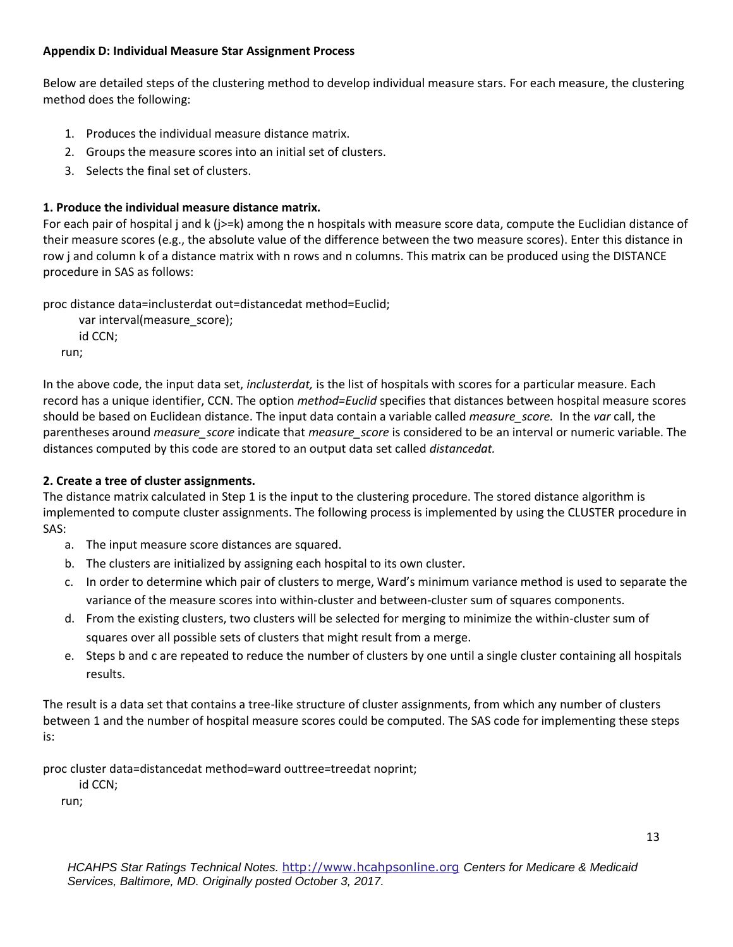### **Appendix D: Individual Measure Star Assignment Process**

Below are detailed steps of the clustering method to develop individual measure stars. For each measure, the clustering method does the following:

- 1. Produces the individual measure distance matrix.
- 2. Groups the measure scores into an initial set of clusters.
- 3. Selects the final set of clusters.

# **1. Produce the individual measure distance matrix.**

For each pair of hospital j and k (j>=k) among the n hospitals with measure score data, compute the Euclidian distance of their measure scores (e.g., the absolute value of the difference between the two measure scores). Enter this distance in row j and column k of a distance matrix with n rows and n columns. This matrix can be produced using the DISTANCE procedure in SAS as follows:

proc distance data=inclusterdat out=distancedat method=Euclid;

```
 var interval(measure_score);
   id CCN;
run;
```
In the above code, the input data set, *inclusterdat,* is the list of hospitals with scores for a particular measure. Each record has a unique identifier, CCN. The option *method=Euclid* specifies that distances between hospital measure scores should be based on Euclidean distance. The input data contain a variable called *measure\_score.* In the *var* call, the parentheses around *measure\_score* indicate that *measure\_score* is considered to be an interval or numeric variable. The distances computed by this code are stored to an output data set called *distancedat.* 

# **2. Create a tree of cluster assignments.**

The distance matrix calculated in Step 1 is the input to the clustering procedure. The stored distance algorithm is implemented to compute cluster assignments. The following process is implemented by using the CLUSTER procedure in SAS:

- a. The input measure score distances are squared.
- b. The clusters are initialized by assigning each hospital to its own cluster.
- c. In order to determine which pair of clusters to merge, Ward's minimum variance method is used to separate the variance of the measure scores into within-cluster and between-cluster sum of squares components.
- d. From the existing clusters, two clusters will be selected for merging to minimize the within-cluster sum of squares over all possible sets of clusters that might result from a merge.
- e. Steps b and c are repeated to reduce the number of clusters by one until a single cluster containing all hospitals results.

The result is a data set that contains a tree-like structure of cluster assignments, from which any number of clusters between 1 and the number of hospital measure scores could be computed. The SAS code for implementing these steps is:

proc cluster data=distancedat method=ward outtree=treedat noprint;

id CCN;

run;